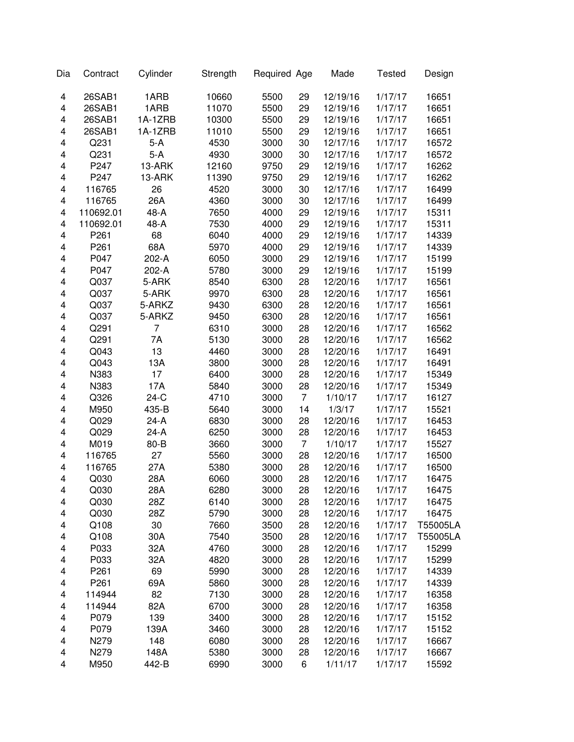| Dia | Contract         | Cylinder | Strength | Required Age |                | Made     | <b>Tested</b> | Design   |
|-----|------------------|----------|----------|--------------|----------------|----------|---------------|----------|
| 4   | 26SAB1           | 1ARB     | 10660    | 5500         | 29             | 12/19/16 | 1/17/17       | 16651    |
| 4   | 26SAB1           | 1ARB     | 11070    | 5500         | 29             | 12/19/16 | 1/17/17       | 16651    |
| 4   | 26SAB1           | 1A-1ZRB  | 10300    | 5500         | 29             | 12/19/16 | 1/17/17       | 16651    |
| 4   | 26SAB1           | 1A-1ZRB  | 11010    | 5500         | 29             | 12/19/16 | 1/17/17       | 16651    |
| 4   | Q231             | $5-A$    | 4530     | 3000         | 30             | 12/17/16 | 1/17/17       | 16572    |
| 4   | Q231             | $5-A$    | 4930     | 3000         | 30             | 12/17/16 | 1/17/17       | 16572    |
| 4   | P247             | 13-ARK   | 12160    | 9750         | 29             | 12/19/16 | 1/17/17       | 16262    |
| 4   | P247             | 13-ARK   | 11390    | 9750         | 29             | 12/19/16 | 1/17/17       | 16262    |
| 4   | 116765           | 26       | 4520     | 3000         | 30             | 12/17/16 | 1/17/17       | 16499    |
| 4   | 116765           | 26A      | 4360     | 3000         | 30             | 12/17/16 | 1/17/17       | 16499    |
| 4   | 110692.01        | 48-A     | 7650     | 4000         | 29             | 12/19/16 | 1/17/17       | 15311    |
| 4   | 110692.01        | 48-A     | 7530     | 4000         | 29             | 12/19/16 | 1/17/17       | 15311    |
| 4   | P261             | 68       | 6040     | 4000         | 29             | 12/19/16 | 1/17/17       | 14339    |
| 4   | P261             | 68A      | 5970     | 4000         | 29             | 12/19/16 | 1/17/17       | 14339    |
| 4   | P047             | 202-A    | 6050     | 3000         | 29             | 12/19/16 | 1/17/17       | 15199    |
| 4   | P047             | 202-A    | 5780     | 3000         | 29             | 12/19/16 | 1/17/17       | 15199    |
| 4   | Q037             | 5-ARK    | 8540     | 6300         | 28             | 12/20/16 | 1/17/17       | 16561    |
| 4   | Q037             | 5-ARK    | 9970     | 6300         | 28             | 12/20/16 | 1/17/17       | 16561    |
| 4   | Q037             | 5-ARKZ   | 9430     | 6300         | 28             | 12/20/16 | 1/17/17       | 16561    |
| 4   | Q037             | 5-ARKZ   | 9450     | 6300         | 28             | 12/20/16 | 1/17/17       | 16561    |
| 4   | Q291             | 7        | 6310     | 3000         | 28             | 12/20/16 | 1/17/17       | 16562    |
| 4   | Q291             | 7A       | 5130     | 3000         | 28             | 12/20/16 | 1/17/17       | 16562    |
| 4   | Q043             | 13       | 4460     | 3000         | 28             | 12/20/16 | 1/17/17       | 16491    |
| 4   | Q043             | 13A      | 3800     | 3000         | 28             | 12/20/16 | 1/17/17       | 16491    |
| 4   | N383             | 17       | 6400     | 3000         | 28             | 12/20/16 | 1/17/17       | 15349    |
| 4   | N383             | 17A      | 5840     | 3000         | 28             | 12/20/16 | 1/17/17       | 15349    |
| 4   | Q326             | $24-C$   | 4710     | 3000         | $\overline{7}$ | 1/10/17  | 1/17/17       | 16127    |
| 4   | M950             | 435-B    | 5640     | 3000         | 14             | 1/3/17   | 1/17/17       | 15521    |
| 4   | Q029             | $24-A$   | 6830     | 3000         | 28             | 12/20/16 | 1/17/17       | 16453    |
| 4   | Q029             | 24-A     | 6250     | 3000         | 28             | 12/20/16 | 1/17/17       | 16453    |
| 4   | M019             | 80-B     | 3660     | 3000         | $\overline{7}$ | 1/10/17  | 1/17/17       | 15527    |
| 4   | 116765           | 27       | 5560     | 3000         | 28             | 12/20/16 | 1/17/17       | 16500    |
| 4   | 116765           | 27A      | 5380     | 3000         | 28             | 12/20/16 | 1/17/17       | 16500    |
| 4   | Q030             | 28A      | 6060     | 3000         | 28             | 12/20/16 | 1/17/17       | 16475    |
| 4   | Q030             | 28A      | 6280     | 3000         | 28             | 12/20/16 | 1/17/17       | 16475    |
| 4   | Q030             | 28Z      | 6140     | 3000         | 28             | 12/20/16 | 1/17/17       | 16475    |
| 4   | Q030             | 28Z      | 5790     | 3000         | 28             | 12/20/16 | 1/17/17       | 16475    |
| 4   | Q108             | 30       | 7660     | 3500         | 28             | 12/20/16 | 1/17/17       | T55005LA |
| 4   | Q108             | 30A      | 7540     | 3500         | 28             | 12/20/16 | 1/17/17       | T55005LA |
| 4   | P033             | 32A      | 4760     | 3000         | 28             | 12/20/16 | 1/17/17       | 15299    |
| 4   | P033             | 32A      | 4820     | 3000         | 28             | 12/20/16 | 1/17/17       | 15299    |
| 4   | P <sub>261</sub> | 69       | 5990     | 3000         | 28             | 12/20/16 | 1/17/17       | 14339    |
| 4   | P261             | 69A      | 5860     | 3000         | 28             | 12/20/16 | 1/17/17       | 14339    |
| 4   | 114944           | 82       | 7130     | 3000         | 28             | 12/20/16 | 1/17/17       | 16358    |
| 4   | 114944           | 82A      | 6700     | 3000         | 28             | 12/20/16 | 1/17/17       | 16358    |
| 4   | P079             | 139      | 3400     | 3000         | 28             | 12/20/16 | 1/17/17       | 15152    |
| 4   | P079             | 139A     | 3460     | 3000         | 28             | 12/20/16 | 1/17/17       | 15152    |
| 4   | N279             | 148      | 6080     | 3000         | 28             | 12/20/16 | 1/17/17       | 16667    |
| 4   | N279             | 148A     | 5380     | 3000         | 28             | 12/20/16 | 1/17/17       | 16667    |
| 4   | M950             | 442-B    | 6990     | 3000         | 6              | 1/11/17  | 1/17/17       | 15592    |
|     |                  |          |          |              |                |          |               |          |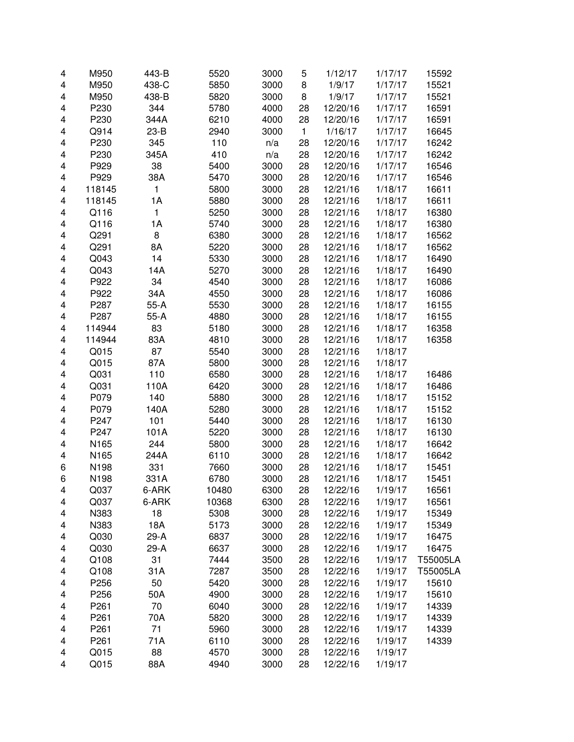| 4                       | M950         | 443-B        | 5520           | 3000         | 5            | 1/12/17  | 1/17/17            | 15592          |
|-------------------------|--------------|--------------|----------------|--------------|--------------|----------|--------------------|----------------|
| 4                       | M950         | 438-C        | 5850           | 3000         | 8            | 1/9/17   | 1/17/17            | 15521          |
| 4                       | M950         | 438-B        | 5820           | 3000         | 8            | 1/9/17   | 1/17/17            | 15521          |
| 4                       | P230         | 344          | 5780           | 4000         | 28           | 12/20/16 | 1/17/17            | 16591          |
| 4                       | P230         | 344A         | 6210           | 4000         | 28           | 12/20/16 | 1/17/17            | 16591          |
| 4                       | Q914         | $23-B$       | 2940           | 3000         | $\mathbf{1}$ | 1/16/17  | 1/17/17            | 16645          |
| 4                       | P230         | 345          | 110            | n/a          | 28           | 12/20/16 | 1/17/17            | 16242          |
| 4                       | P230         | 345A         | 410            | n/a          | 28           | 12/20/16 | 1/17/17            | 16242          |
| 4                       | P929         | 38           | 5400           | 3000         | 28           | 12/20/16 | 1/17/17            | 16546          |
| 4                       | P929         | 38A          | 5470           | 3000         | 28           | 12/20/16 | 1/17/17            | 16546          |
| 4                       | 118145       | $\mathbf{1}$ | 5800           | 3000         | 28           | 12/21/16 | 1/18/17            | 16611          |
| 4                       | 118145       | 1A           | 5880           | 3000         | 28           | 12/21/16 | 1/18/17            | 16611          |
| 4                       | Q116         | $\mathbf{1}$ | 5250           | 3000         | 28           | 12/21/16 | 1/18/17            | 16380          |
| 4                       | Q116         | 1A           | 5740           | 3000         | 28           | 12/21/16 | 1/18/17            | 16380          |
| 4                       | Q291         | 8            | 6380           | 3000         | 28           | 12/21/16 | 1/18/17            | 16562          |
| $\overline{\mathbf{4}}$ | Q291         | 8A           | 5220           | 3000         | 28           | 12/21/16 | 1/18/17            | 16562          |
| 4                       | Q043         | 14           | 5330           | 3000         | 28           | 12/21/16 | 1/18/17            | 16490          |
| 4                       | Q043         | 14A          | 5270           | 3000         | 28           | 12/21/16 | 1/18/17            | 16490          |
| $\overline{\mathbf{4}}$ | P922         | 34           | 4540           | 3000         | 28           | 12/21/16 | 1/18/17            | 16086          |
| 4                       | P922         | 34A          | 4550           | 3000         | 28           | 12/21/16 | 1/18/17            | 16086          |
| 4                       | P287         | $55-A$       | 5530           | 3000         | 28           | 12/21/16 | 1/18/17            | 16155          |
| 4                       | P287         | $55-A$       | 4880           | 3000         | 28           | 12/21/16 | 1/18/17            | 16155          |
| 4                       | 114944       | 83           | 5180           | 3000         | 28           | 12/21/16 | 1/18/17            | 16358          |
| 4                       | 114944       | 83A          | 4810           | 3000         | 28           | 12/21/16 | 1/18/17            | 16358          |
| 4                       | Q015         | 87           | 5540           | 3000         | 28           | 12/21/16 | 1/18/17            |                |
| 4                       | Q015         | 87A          | 5800           | 3000         | 28           | 12/21/16 | 1/18/17            |                |
| 4                       | Q031         | 110          | 6580           | 3000         | 28           | 12/21/16 | 1/18/17            | 16486          |
| 4                       | Q031         | 110A         | 6420           | 3000         | 28           | 12/21/16 | 1/18/17            | 16486          |
| 4                       | P079         | 140          | 5880           | 3000         | 28           | 12/21/16 | 1/18/17            | 15152          |
| 4                       | P079         | 140A         | 5280           | 3000         | 28           | 12/21/16 | 1/18/17            | 15152          |
| 4                       | P247         | 101          | 5440           | 3000         | 28           | 12/21/16 | 1/18/17            | 16130          |
| $\overline{\mathbf{4}}$ | P247         | 101A         | 5220           | 3000         | 28           | 12/21/16 | 1/18/17            | 16130          |
| $\overline{\mathbf{4}}$ | N165         | 244          | 5800           | 3000         | 28           | 12/21/16 | 1/18/17            | 16642          |
| 4                       | N165         | 244A         | 6110           | 3000         | 28           | 12/21/16 | 1/18/17            | 16642          |
| 6                       | N198         | 331          | 7660           | 3000         | 28           | 12/21/16 | 1/18/17            | 15451          |
| 6                       | N198         | 331A         | 6780           | 3000         | 28           | 12/21/16 | 1/18/17            | 15451          |
| 4                       |              | 6-ARK        |                |              | 28           | 12/22/16 |                    |                |
| 4                       | Q037<br>Q037 | 6-ARK        | 10480<br>10368 | 6300<br>6300 | 28           | 12/22/16 | 1/19/17<br>1/19/17 | 16561<br>16561 |
| 4                       | N383         | 18           | 5308           | 3000         | 28           | 12/22/16 | 1/19/17            | 15349          |
| 4                       | N383         | 18A          | 5173           | 3000         | 28           | 12/22/16 | 1/19/17            | 15349          |
|                         | Q030         | $29-A$       | 6837           | 3000         | 28           | 12/22/16 | 1/19/17            | 16475          |
| 4                       | Q030         | $29-A$       | 6637           | 3000         | 28           |          | 1/19/17            | 16475          |
| 4                       | Q108         | 31           | 7444           | 3500         | 28           | 12/22/16 | 1/19/17            | T55005LA       |
| 4                       |              |              |                |              |              | 12/22/16 |                    |                |
| 4                       | Q108         | 31A          | 7287           | 3500         | 28           | 12/22/16 | 1/19/17            | T55005LA       |
| 4                       | P256         | 50           | 5420           | 3000         | 28           | 12/22/16 | 1/19/17            | 15610          |
| 4                       | P256         | 50A          | 4900           | 3000         | 28           | 12/22/16 | 1/19/17            | 15610          |
| 4                       | P261         | 70           | 6040           | 3000         | 28           | 12/22/16 | 1/19/17            | 14339          |
| $\overline{\mathbf{4}}$ | P261         | 70A          | 5820           | 3000         | 28           | 12/22/16 | 1/19/17            | 14339          |
| 4                       | P261         | 71           | 5960           | 3000         | 28           | 12/22/16 | 1/19/17            | 14339          |
| 4                       | P261         | 71A          | 6110           | 3000         | 28           | 12/22/16 | 1/19/17            | 14339          |
| 4                       | Q015         | 88           | 4570           | 3000         | 28           | 12/22/16 | 1/19/17            |                |
| 4                       | Q015         | 88A          | 4940           | 3000         | 28           | 12/22/16 | 1/19/17            |                |